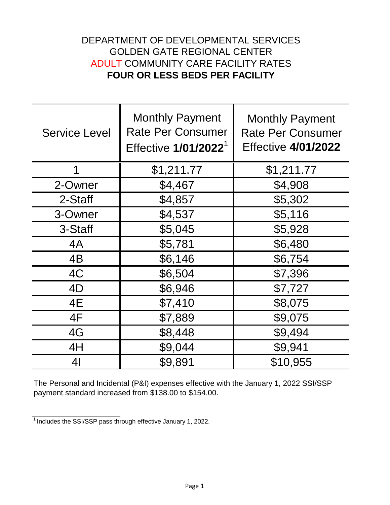## DEPARTMENT OF DEVELOPMENTAL SERVICES GOLDEN GATE REGIONAL CENTER ADULT COMMUNITY CARE FACILITY RATES **FOUR OR LESS BEDS PER FACILITY**

| <b>Service Level</b> | <b>Monthly Payment</b><br><b>Rate Per Consumer</b><br>Effective 1/01/2022 <sup>1</sup> | <b>Monthly Payment</b><br><b>Rate Per Consumer</b><br><b>Effective 4/01/2022</b> |
|----------------------|----------------------------------------------------------------------------------------|----------------------------------------------------------------------------------|
| 1                    | \$1,211.77                                                                             | \$1,211.77                                                                       |
| 2-Owner              | \$4,467                                                                                | \$4,908                                                                          |
| 2-Staff              | \$4,857                                                                                | \$5,302                                                                          |
| 3-Owner              | \$4,537                                                                                | \$5,116                                                                          |
| 3-Staff              | \$5,045                                                                                | \$5,928                                                                          |
| 4A                   | \$5,781                                                                                | \$6,480                                                                          |
| 4B                   | \$6,146                                                                                | \$6,754                                                                          |
| 4C                   | \$6,504                                                                                | \$7,396                                                                          |
| 4D                   | \$6,946                                                                                | \$7,727                                                                          |
| 4E                   | \$7,410                                                                                | \$8,075                                                                          |
| 4F                   | \$7,889                                                                                | \$9,075                                                                          |
| 4G                   | \$8,448                                                                                | \$9,494                                                                          |
| 4H                   | \$9,044                                                                                | \$9,941                                                                          |
| 4 <sub>l</sub>       | \$9,891                                                                                | \$10,955                                                                         |

The Personal and Incidental (P&I) expenses effective with the January 1, 2022 SSI/SSP payment standard increased from \$138.00 to \$154.00.

 $\frac{1}{1}$ Includes the SSI/SSP pass through effective January 1, 2022.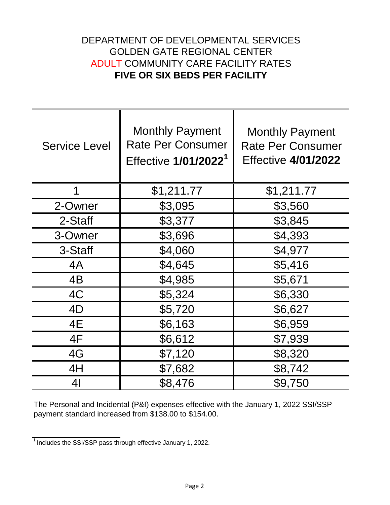## DEPARTMENT OF DEVELOPMENTAL SERVICES GOLDEN GATE REGIONAL CENTER ADULT COMMUNITY CARE FACILITY RATES **FIVE OR SIX BEDS PER FACILITY**

| <b>Service Level</b> | <b>Monthly Payment</b><br><b>Rate Per Consumer</b><br>Effective 1/01/2022 <sup>1</sup> | <b>Monthly Payment</b><br><b>Rate Per Consumer</b><br><b>Effective 4/01/2022</b> |
|----------------------|----------------------------------------------------------------------------------------|----------------------------------------------------------------------------------|
| 1                    | \$1,211.77                                                                             | \$1,211.77                                                                       |
| 2-Owner              | \$3,095                                                                                | \$3,560                                                                          |
| 2-Staff              | \$3,377                                                                                | \$3,845                                                                          |
| 3-Owner              | \$3,696                                                                                | \$4,393                                                                          |
| 3-Staff              | \$4,060                                                                                | \$4,977                                                                          |
| 4A                   | \$4,645                                                                                | \$5,416                                                                          |
| 4B                   | \$4,985                                                                                | \$5,671                                                                          |
| 4C                   | \$5,324                                                                                | \$6,330                                                                          |
| 4D                   | \$5,720                                                                                | \$6,627                                                                          |
| 4E                   | \$6,163                                                                                | \$6,959                                                                          |
| 4F                   | \$6,612                                                                                | \$7,939                                                                          |
| 4G                   | \$7,120                                                                                | \$8,320                                                                          |
| 4H                   | \$7,682                                                                                | \$8,742                                                                          |
| 41                   | \$8,476                                                                                | \$9,750                                                                          |

The Personal and Incidental (P&I) expenses effective with the January 1, 2022 SSI/SSP payment standard increased from \$138.00 to \$154.00.

 $\frac{1}{1}$  Includes the SSI/SSP pass through effective January 1, 2022.